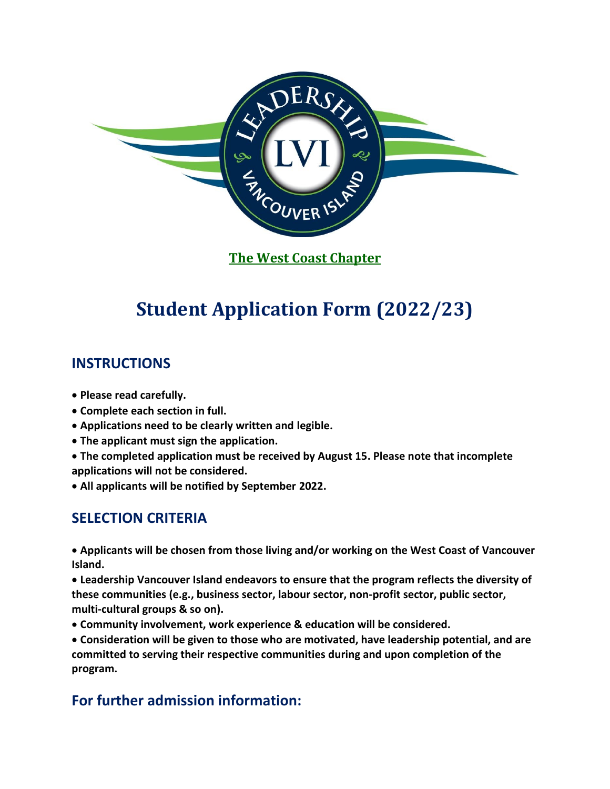

**The West Coast Chapter**

# **Student Application Form (2022/23)**

### **INSTRUCTIONS**

- **Please read carefully.**
- **Complete each section in full.**
- **Applications need to be clearly written and legible.**
- **The applicant must sign the application.**
- **The completed application must be received by August 15. Please note that incomplete applications will not be considered.**
- **All applicants will be notified by September 2022.**

## **SELECTION CRITERIA**

• **Applicants will be chosen from those living and/or working on the West Coast of Vancouver Island.**

• **Leadership Vancouver Island endeavors to ensure that the program reflects the diversity of these communities (e.g., business sector, labour sector, non-profit sector, public sector, multi-cultural groups & so on).**

• **Community involvement, work experience & education will be considered.**

• **Consideration will be given to those who are motivated, have leadership potential, and are committed to serving their respective communities during and upon completion of the program.**

# **For further admission information:**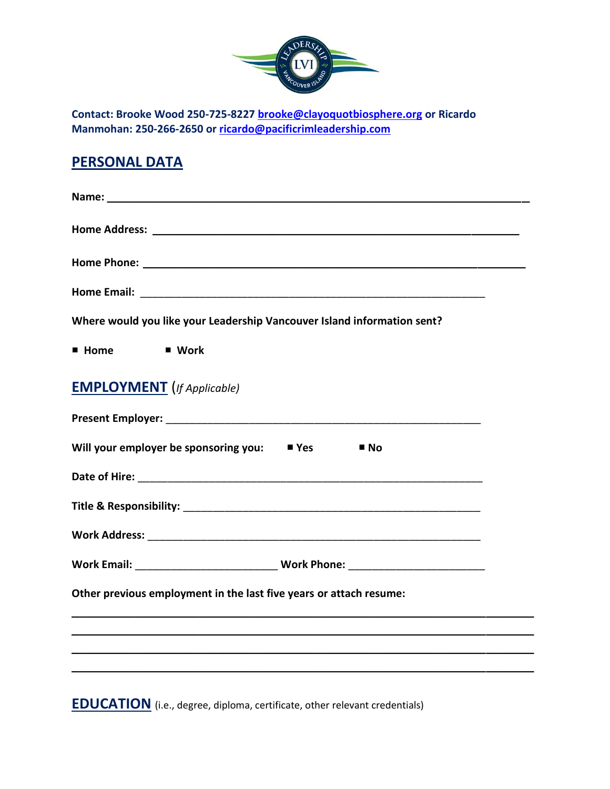

**Contact: Brooke Wood 250-725-822[7 brooke@clayoquotbiosphere.org](mailto:brooke@clayoquotbiosphere.org) or Ricardo Manmohan: 250-266-2650 or [ricardo@pacificrimleadership.com](mailto:ricardo@pacificrimleadership.com)**

### **PERSONAL DATA**

| Where would you like your Leadership Vancouver Island information sent?          |  |
|----------------------------------------------------------------------------------|--|
| <b>E</b> Home<br>■ Work                                                          |  |
| <b>EMPLOYMENT</b> (If Applicable)                                                |  |
|                                                                                  |  |
| Will your employer be sponsoring you: $\blacksquare$ Yes<br>$\blacksquare$ No    |  |
|                                                                                  |  |
|                                                                                  |  |
|                                                                                  |  |
| Work Email: __________________________________Work Phone: ______________________ |  |
| Other previous employment in the last five years or attach resume:               |  |
|                                                                                  |  |
|                                                                                  |  |
|                                                                                  |  |

**EDUCATION** (i.e., degree, diploma, certificate, other relevant credentials)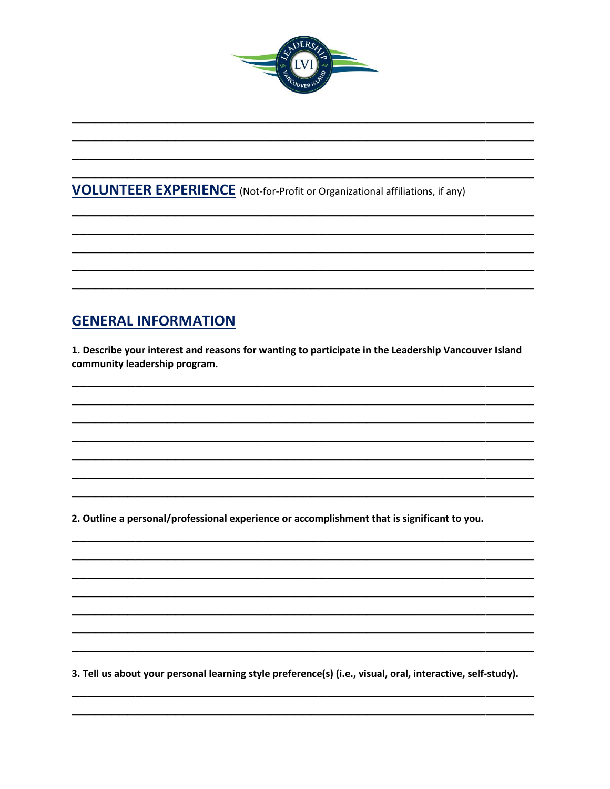

### **VOLUNTEER EXPERIENCE** (Not-for-Profit or Organizational affiliations, if any)

## **GENERAL INFORMATION**

1. Describe your interest and reasons for wanting to participate in the Leadership Vancouver Island community leadership program.

2. Outline a personal/professional experience or accomplishment that is significant to you.

3. Tell us about your personal learning style preference(s) (i.e., visual, oral, interactive, self-study).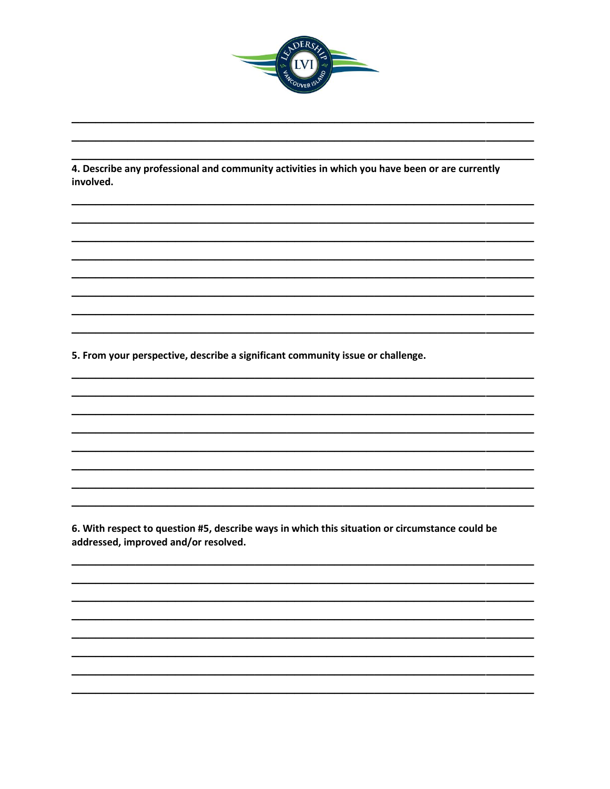

4. Describe any professional and community activities in which you have been or are currently involved.

5. From your perspective, describe a significant community issue or challenge.

6. With respect to question #5, describe ways in which this situation or circumstance could be addressed, improved and/or resolved.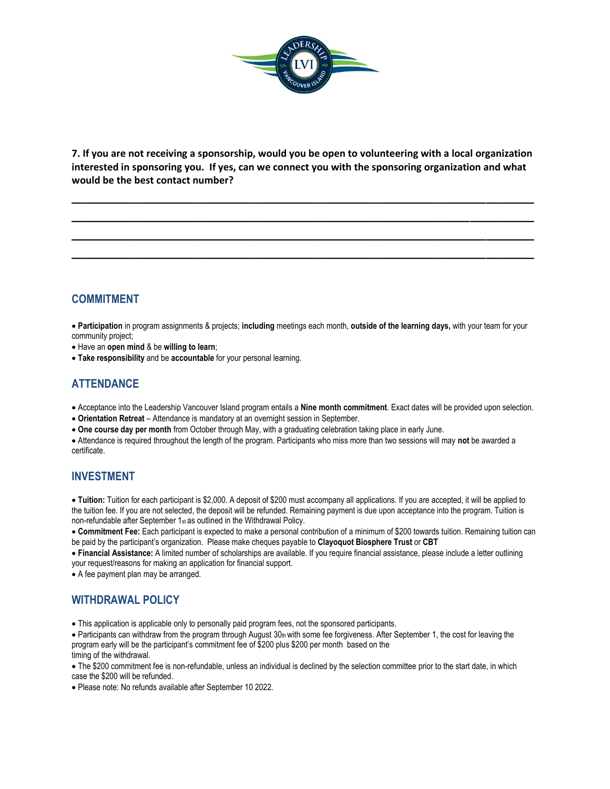

**7. If you are not receiving a sponsorship, would you be open to volunteering with a local organization interested in sponsoring you. If yes, can we connect you with the sponsoring organization and what would be the best contact number?**

**\_\_\_\_\_\_\_\_\_\_\_\_\_\_\_\_\_\_\_\_\_\_\_\_\_\_\_\_\_\_\_\_\_\_\_\_\_\_\_\_\_\_\_\_\_\_\_\_\_\_\_\_\_\_\_\_\_\_ \_\_\_\_\_\_\_\_\_\_\_\_\_\_\_\_\_\_\_\_\_\_\_\_\_\_\_\_\_\_\_\_\_\_\_\_\_\_\_\_\_\_\_\_\_\_\_\_\_\_\_\_\_\_\_\_\_\_ \_\_\_\_\_\_\_\_\_\_\_\_\_\_\_\_\_\_\_\_\_\_\_\_\_\_\_\_\_\_\_\_\_\_\_\_\_\_\_\_\_\_\_\_\_\_\_\_\_\_\_\_\_\_\_\_\_\_ \_\_\_\_\_\_\_\_\_\_\_\_\_\_\_\_\_\_\_\_\_\_\_\_\_\_\_\_\_\_\_\_\_\_\_\_\_\_\_\_\_\_\_\_\_\_\_\_\_\_\_\_\_\_\_\_\_\_**

#### **COMMITMENT**

• **Participation** in program assignments & projects; **including** meetings each month, **outside of the learning days,** with your team for your community project;

• Have an **open mind** & be **willing to learn**;

• **Take responsibility** and be **accountable** for your personal learning.

### **ATTENDANCE**

- Acceptance into the Leadership Vancouver Island program entails a **Nine month commitment**. Exact dates will be provided upon selection.
- **Orientation Retreat** Attendance is mandatory at an overnight session in September.
- **One course day per month** from October through May, with a graduating celebration taking place in early June.

• Attendance is required throughout the length of the program. Participants who miss more than two sessions will may **not** be awarded a certificate.

#### **INVESTMENT**

• **Tuition:** Tuition for each participant is \$2,000. A deposit of \$200 must accompany all applications. If you are accepted, it will be applied to the tuition fee. If you are not selected, the deposit will be refunded. Remaining payment is due upon acceptance into the program. Tuition is non-refundable after September 1st as outlined in the Withdrawal Policy.

• **Commitment Fee:** Each participant is expected to make a personal contribution of a minimum of \$200 towards tuition. Remaining tuition can be paid by the participant's organization. Please make cheques payable to **Clayoquot Biosphere Trust** or **CBT**

• **Financial Assistance:** A limited number of scholarships are available. If you require financial assistance, please include a letter outlining your request/reasons for making an application for financial support.

• A fee payment plan may be arranged.

#### **WITHDRAWAL POLICY**

• This application is applicable only to personally paid program fees, not the sponsored participants.

• Participants can withdraw from the program through August 30th with some fee forgiveness. After September 1, the cost for leaving the program early will be the participant's commitment fee of \$200 plus \$200 per month based on the timing of the withdrawal.

• The \$200 commitment fee is non-refundable, unless an individual is declined by the selection committee prior to the start date, in which case the \$200 will be refunded.

• Please note: No refunds available after September 10 2022.